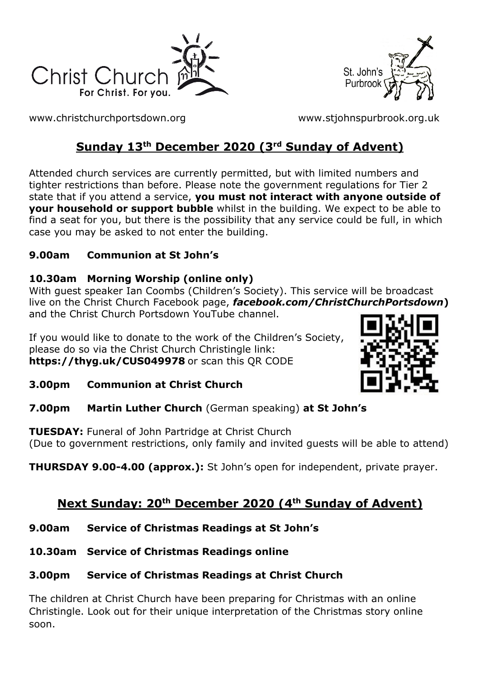



[www.christchurchportsdown.org](http://www.christchurchportsdown.org/) [www.stjohnspurbrook.org.uk](http://www.stjohnspurbrook.org.uk/)

# **Sunday 13th December 2020 (3rd Sunday of Advent)**

Attended church services are currently permitted, but with limited numbers and tighter restrictions than before. Please note the government regulations for Tier 2 state that if you attend a service, **you must not interact with anyone outside of your household or support bubble** whilst in the building. We expect to be able to find a seat for you, but there is the possibility that any service could be full, in which case you may be asked to not enter the building.

## **9.00am Communion at St John's**

## **10.30am Morning Worship (online only)**

With guest speaker Ian Coombs (Children's Society). This service will be broadcast live on the Christ Church Facebook page, *facebook.com/ChristChurchPortsdown***)**  and the Christ Church Portsdown YouTube channel.

If you would like to donate to the work of the Children's Society, please do so via the Christ Church Christingle link: **<https://thyg.uk/CUS049978>** or scan this QR CODE



- **3.00pm Communion at Christ Church**
- **7.00pm Martin Luther Church** (German speaking) **at St John's**

**TUESDAY:** Funeral of John Partridge at Christ Church (Due to government restrictions, only family and invited guests will be able to attend)

**THURSDAY 9.00-4.00 (approx.):** St John's open for independent, private prayer.

# **Next Sunday: 20th December 2020 (4th Sunday of Advent)**

- **9.00am Service of Christmas Readings at St John's**
- **10.30am Service of Christmas Readings online**

## **3.00pm Service of Christmas Readings at Christ Church**

The children at Christ Church have been preparing for Christmas with an online Christingle. Look out for their unique interpretation of the Christmas story online soon.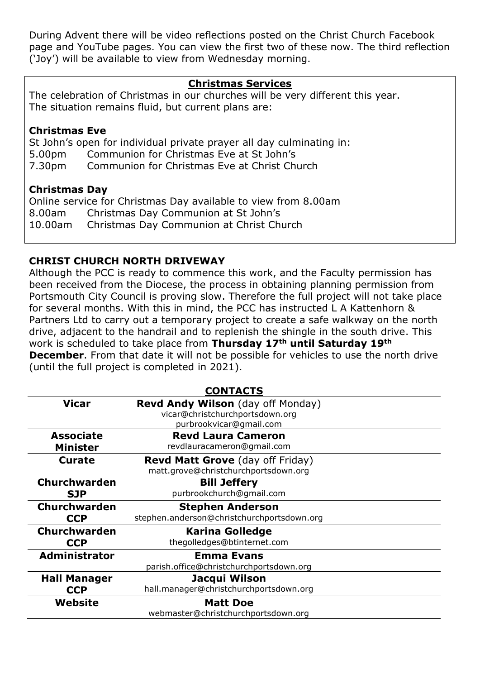During Advent there will be video reflections posted on the Christ Church Facebook page and YouTube pages. You can view the first two of these now. The third reflection ('Joy') will be available to view from Wednesday morning.

#### **Christmas Services**

The celebration of Christmas in our churches will be very different this year. The situation remains fluid, but current plans are:

#### **Christmas Eve**

St John's open for individual private prayer all day culminating in: 5.00pm Communion for Christmas Eve at St John's 7.30pm Communion for Christmas Eve at Christ Church

#### **Christmas Day**

Online service for Christmas Day available to view from 8.00am 8.00am Christmas Day Communion at St John's 10.00am Christmas Day Communion at Christ Church

### **CHRIST CHURCH NORTH DRIVEWAY**

Although the PCC is ready to commence this work, and the Faculty permission has been received from the Diocese, the process in obtaining planning permission from Portsmouth City Council is proving slow. Therefore the full project will not take place for several months. With this in mind, the PCC has instructed L A Kattenhorn & Partners Ltd to carry out a temporary project to create a safe walkway on the north drive, adjacent to the handrail and to replenish the shingle in the south drive. This work is scheduled to take place from **Thursday 17th until Saturday 19th December**. From that date it will not be possible for vehicles to use the north drive (until the full project is completed in 2021).

| <b>CONTACTS</b>      |                                            |
|----------------------|--------------------------------------------|
| Vicar                | <b>Revd Andy Wilson</b> (day off Monday)   |
|                      | vicar@christchurchportsdown.org            |
|                      | purbrookvicar@gmail.com                    |
| <b>Associate</b>     | <b>Revd Laura Cameron</b>                  |
| <b>Minister</b>      | revdlauracameron@gmail.com                 |
| <b>Curate</b>        | <b>Revd Matt Grove</b> (day off Friday)    |
|                      | matt.grove@christchurchportsdown.org       |
| <b>Churchwarden</b>  | <b>Bill Jeffery</b>                        |
| <b>SJP</b>           | purbrookchurch@gmail.com                   |
| <b>Churchwarden</b>  | <b>Stephen Anderson</b>                    |
| <b>CCP</b>           | stephen.anderson@christchurchportsdown.org |
| <b>Churchwarden</b>  | <b>Karina Golledge</b>                     |
| <b>CCP</b>           | thegolledges@btinternet.com                |
| <b>Administrator</b> | <b>Emma Evans</b>                          |
|                      | parish.office@christchurchportsdown.org    |
| <b>Hall Manager</b>  | Jacqui Wilson                              |
| <b>CCP</b>           | hall.manager@christchurchportsdown.org     |
| Website              | <b>Matt Doe</b>                            |
|                      | webmaster@christchurchportsdown.org        |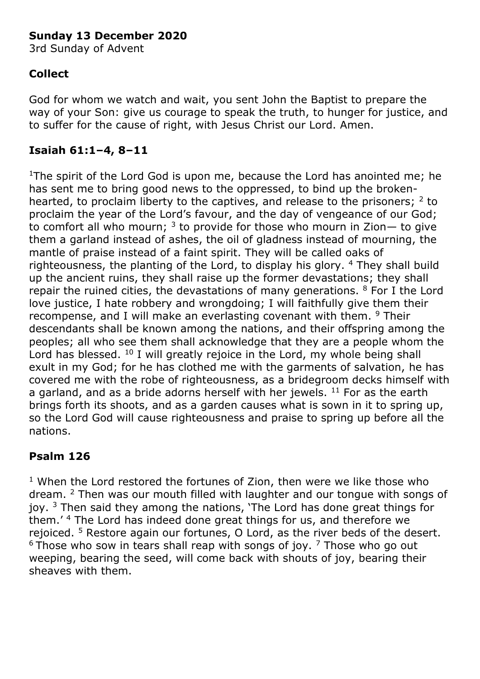## **Sunday 13 December 2020**

3rd Sunday of Advent

## **Collect**

God for whom we watch and wait, you sent John the Baptist to prepare the way of your Son: give us courage to speak the truth, to hunger for justice, and to suffer for the cause of right, with Jesus Christ our Lord. Amen.

## **Isaiah 61:1–4, 8–11**

<sup>1</sup>The spirit of the Lord God is upon me, because the Lord has anointed me; he has sent me to bring good news to the oppressed, to bind up the brokenhearted, to proclaim liberty to the captives, and release to the prisoners;  $2$  to proclaim the year of the Lord's favour, and the day of vengeance of our God; to comfort all who mourn;  $3$  to provide for those who mourn in Zion— to give them a garland instead of ashes, the oil of gladness instead of mourning, the mantle of praise instead of a faint spirit. They will be called oaks of righteousness, the planting of the Lord, to display his glory. <sup>4</sup> They shall build up the ancient ruins, they shall raise up the former devastations; they shall repair the ruined cities, the devastations of many generations.  $8$  For I the Lord love justice, I hate robbery and wrongdoing; I will faithfully give them their recompense, and I will make an everlasting covenant with them. <sup>9</sup> Their descendants shall be known among the nations, and their offspring among the peoples; all who see them shall acknowledge that they are a people whom the Lord has blessed.  $^{10}$  I will greatly rejoice in the Lord, my whole being shall exult in my God; for he has clothed me with the garments of salvation, he has covered me with the robe of righteousness, as a bridegroom decks himself with a garland, and as a bride adorns herself with her jewels.  $11$  For as the earth brings forth its shoots, and as a garden causes what is sown in it to spring up, so the Lord God will cause righteousness and praise to spring up before all the nations.

## **Psalm 126**

 $1$  When the Lord restored the fortunes of Zion, then were we like those who dream. <sup>2</sup> Then was our mouth filled with laughter and our tongue with songs of joy.  $3$  Then said they among the nations, 'The Lord has done great things for them.' <sup>4</sup> The Lord has indeed done great things for us, and therefore we rejoiced. <sup>5</sup> Restore again our fortunes, O Lord, as the river beds of the desert.  $6$  Those who sow in tears shall reap with songs of joy.  $7$  Those who go out weeping, bearing the seed, will come back with shouts of joy, bearing their sheaves with them.